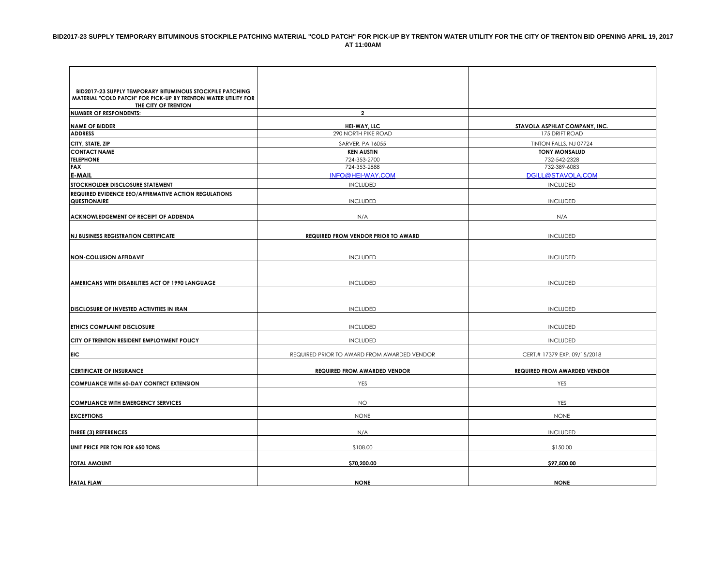| <b>BID2017-23 SUPPLY TEMPORARY BITUMINOUS STOCKPILE PATCHING</b>                      |                                             |                                     |
|---------------------------------------------------------------------------------------|---------------------------------------------|-------------------------------------|
| MATERIAL "COLD PATCH" FOR PICK-UP BY TRENTON WATER UTILITY FOR<br>THE CITY OF TRENTON |                                             |                                     |
| <b>NUMBER OF RESPONDENTS:</b>                                                         | $\overline{2}$                              |                                     |
| <b>NAME OF BIDDER</b>                                                                 | HEI-WAY, LLC                                | STAVOLA ASPHLAT COMPANY, INC.       |
| <b>ADDRESS</b>                                                                        | 290 NORTH PIKE ROAD                         | 175 DRIFT ROAD                      |
| CITY, STATE, ZIP                                                                      | SARVER, PA 16055                            | TINTON FALLS, NJ 07724              |
| <b>CONTACT NAME</b>                                                                   | <b>KEN AUSTIN</b>                           | <b>TONY MONSALUD</b>                |
| <b>TELEPHONE</b>                                                                      | 724-353-2700                                | 732-542-2328                        |
| <b>FAX</b>                                                                            | 724-353-2888                                | 732-389-6083                        |
| <b>E-MAIL</b>                                                                         | INFO@HEI-WAY.COM                            | DGILL@STAVOLA.COM                   |
| STOCKHOLDER DISCLOSURE STATEMENT                                                      | <b>INCLUDED</b>                             | <b>INCLUDED</b>                     |
| REQUIRED EVIDENCE EEO/AFFIRMATIVE ACTION REGULATIONS                                  |                                             |                                     |
| <b>QUESTIONAIRE</b>                                                                   | <b>INCLUDED</b>                             | <b>INCLUDED</b>                     |
| ACKNOWLEDGEMENT OF RECEIPT OF ADDENDA                                                 | N/A                                         | N/A                                 |
|                                                                                       |                                             |                                     |
| <b>NJ BUSINESS REGISTRATION CERTIFICATE</b>                                           | <b>REQUIRED FROM VENDOR PRIOR TO AWARD</b>  | <b>INCLUDED</b>                     |
|                                                                                       |                                             |                                     |
|                                                                                       |                                             |                                     |
| <b>NON-COLLUSION AFFIDAVIT</b>                                                        | <b>INCLUDED</b>                             | <b>INCLUDED</b>                     |
|                                                                                       |                                             |                                     |
|                                                                                       |                                             |                                     |
| AMERICANS WITH DISABILITIES ACT OF 1990 LANGUAGE                                      | <b>INCLUDED</b>                             | <b>INCLUDED</b>                     |
|                                                                                       |                                             |                                     |
| <b>DISCLOSURE OF INVESTED ACTIVITIES IN IRAN</b>                                      | <b>INCLUDED</b>                             | <b>INCLUDED</b>                     |
|                                                                                       |                                             |                                     |
| ETHICS COMPLAINT DISCLOSURE                                                           | <b>INCLUDED</b>                             | <b>INCLUDED</b>                     |
| CITY OF TRENTON RESIDENT EMPLOYMENT POLICY                                            | <b>INCLUDED</b>                             | <b>INCLUDED</b>                     |
|                                                                                       |                                             |                                     |
| <b>EIC</b>                                                                            | REQUIRED PRIOR TO AWARD FROM AWARDED VENDOR | CERT.# 17379 EXP. 09/15/2018        |
| <b>CERTIFICATE OF INSURANCE</b>                                                       | <b>REQUIRED FROM AWARDED VENDOR</b>         | <b>REQUIRED FROM AWARDED VENDOR</b> |
| <b>COMPLIANCE WITH 60-DAY CONTRCT EXTENSION</b>                                       | YES                                         | YES                                 |
|                                                                                       |                                             |                                     |
| <b>COMPLIANCE WITH EMERGENCY SERVICES</b>                                             | NO.                                         | YES                                 |
|                                                                                       |                                             |                                     |
| <b>EXCEPTIONS</b>                                                                     | <b>NONE</b>                                 | <b>NONE</b>                         |
| <b>THREE (3) REFERENCES</b>                                                           | N/A                                         | <b>INCLUDED</b>                     |
|                                                                                       |                                             |                                     |
| UNIT PRICE PER TON FOR 650 TONS                                                       | \$108.00                                    | \$150.00                            |
| <b>TOTAL AMOUNT</b>                                                                   | \$70,200.00                                 | \$97,500.00                         |
|                                                                                       |                                             |                                     |
| <b>FATAL FLAW</b>                                                                     | <b>NONE</b>                                 | <b>NONE</b>                         |
|                                                                                       |                                             |                                     |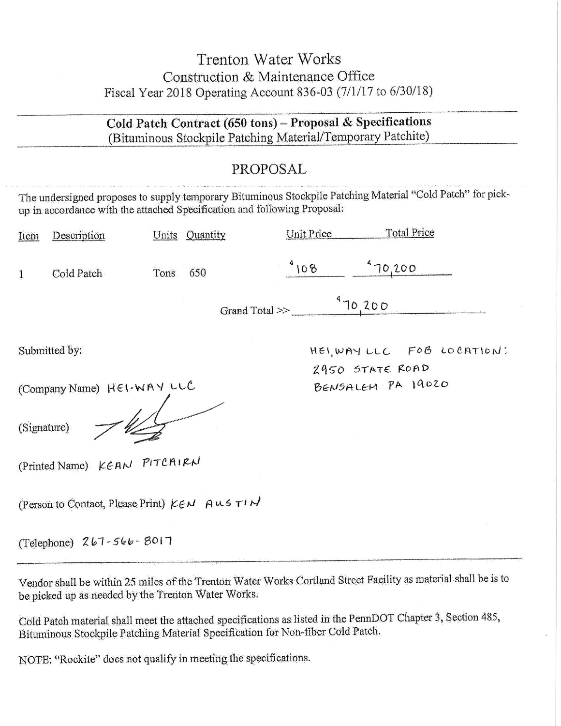# **Trenton Water Works** Construction & Maintenance Office Fiscal Year 2018 Operating Account 836-03 (7/1/17 to 6/30/18)

Cold Patch Contract (650 tons) - Proposal & Specifications (Bituminous Stockpile Patching Material/Temporary Patchite)

## PROPOSAL

The undersigned proposes to supply temporary Bituminous Stockpile Patching Material "Cold Patch" for pickup in accordance with the attached Specification and following Proposal:

| Item | Description | Units | Quantity       | Unit Price | <b>Total Price</b> |
|------|-------------|-------|----------------|------------|--------------------|
|      | Cold Patch  | Tons  | 650            | 08         | 70,200             |
|      |             |       | Grand Total >> | 70,200     |                    |

Submitted by:

(Company Name) HEI-WAY LLC

(Signature)

(Printed Name) KEAN PITCAIRN

(Person to Contact, Please Print) KEN AUSTIN

(Telephone) 267-566-8017

Vendor shall be within 25 miles of the Trenton Water Works Cortland Street Facility as material shall be is to be picked up as needed by the Trenton Water Works.

Cold Patch material shall meet the attached specifications as listed in the PennDOT Chapter 3, Section 485, Bituminous Stockpile Patching Material Specification for Non-fiber Cold Patch.

NOTE: "Rockite" does not qualify in meeting the specifications.

HEI, WAY LLC FOB LOCATION: 2950 STATE ROAD BENSALEM PA 19020